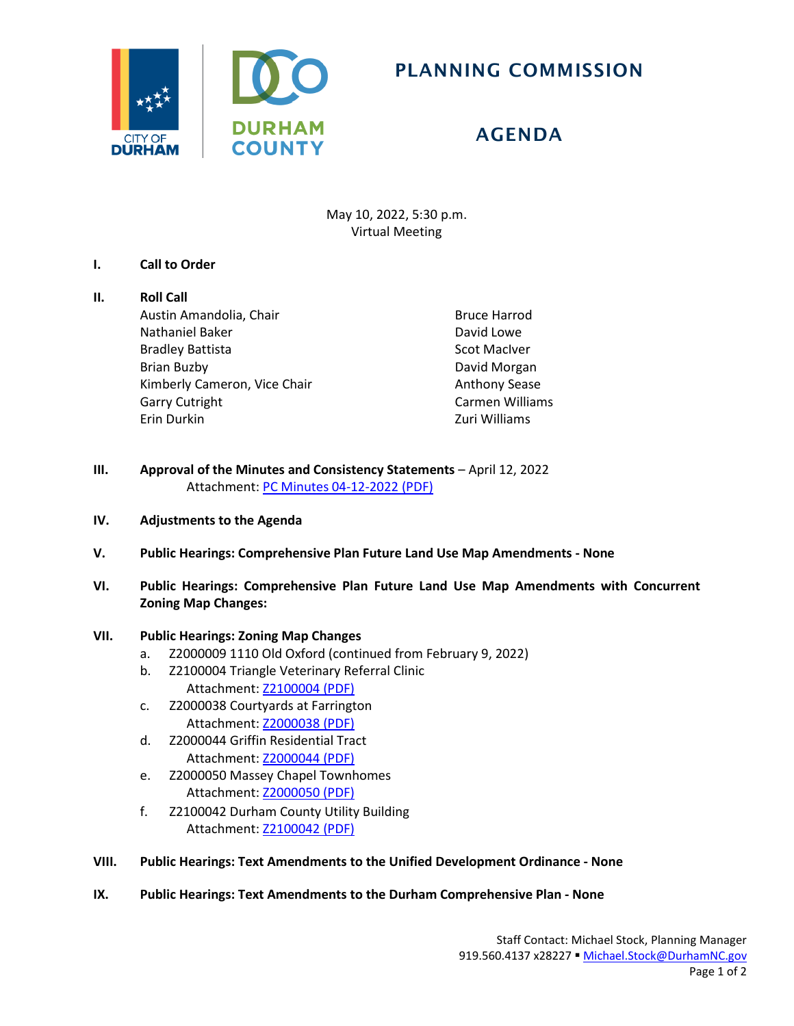

# PLANNING COMMISSION

# AGENDA

May 10, 2022, 5:30 p.m. Virtual Meeting

## **I. Call to Order**

## **II. Roll Call**

Austin Amandolia, Chair Nathaniel Baker Bradley Battista Brian Buzby Kimberly Cameron, Vice Chair Garry Cutright Erin Durkin

Bruce Harrod David Lowe Scot MacIver David Morgan Anthony Sease Carmen Williams Zuri Williams

- **III. Approval of the Minutes and Consistency Statements April 12, 2022** Attachment: [PC Minutes 04-12-2022 \(PDF\)](https://www.durhamnc.gov/DocumentCenter/View/44191/PC-Minutes-04-12-2022)
- **IV. Adjustments to the Agenda**
- **V. Public Hearings: Comprehensive Plan Future Land Use Map Amendments - None**
- **VI. Public Hearings: Comprehensive Plan Future Land Use Map Amendments with Concurrent Zoning Map Changes:**

## **VII. Public Hearings: Zoning Map Changes**

- a. Z2000009 1110 Old Oxford (continued from February 9, 2022)
- b. Z2100004 Triangle Veterinary Referral Clinic Attachment: [Z2100004 \(PDF\)](https://www.durhamnc.gov/DocumentCenter/View/44189/Z2100004)
- c. Z2000038 Courtyards at Farrington Attachment: [Z2000038](https://www.durhamnc.gov/DocumentCenter/View/44192/Z2000038) (PDF)
- d. Z2000044 Griffin Residential Tract Attachment: [Z2000044](https://www.durhamnc.gov/DocumentCenter/View/44187/Z2000044) (PDF)
- e. Z2000050 Massey Chapel Townhomes Attachment: [Z2000050](https://www.durhamnc.gov/DocumentCenter/View/44188/Z2000050) (PDF)
- f. Z2100042 Durham County Utility Building Attachment: [Z2100042 \(PDF\)](https://www.durhamnc.gov/DocumentCenter/View/44190/Z2100042)
- **VIII. Public Hearings: Text Amendments to the Unified Development Ordinance - None**
- **IX. Public Hearings: Text Amendments to the Durham Comprehensive Plan - None**